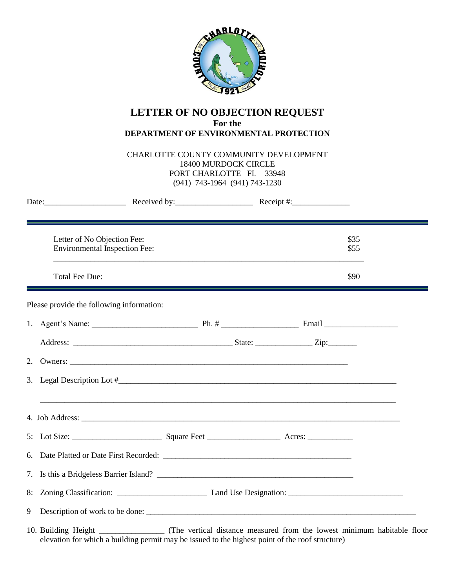

## **LETTER OF NO OBJECTION REQUEST For the DEPARTMENT OF ENVIRONMENTAL PROTECTION**

CHARLOTTE COUNTY COMMUNITY DEVELOPMENT 18400 MURDOCK CIRCLE PORT CHARLOTTE FL 33948 (941) 743-1964 (941) 743-1230

|   |                                                                     | Date: Received by: Received by: Receipt #:                                                                           |  |  |              |  |
|---|---------------------------------------------------------------------|----------------------------------------------------------------------------------------------------------------------|--|--|--------------|--|
|   | Letter of No Objection Fee:<br><b>Environmental Inspection Fee:</b> |                                                                                                                      |  |  | \$35<br>\$55 |  |
|   | <b>Total Fee Due:</b>                                               | <u> 1980 - Andrea Santa Andrea Santa Andrea Santa Andrea Santa Andrea Santa Andrea Santa Andrea Santa Andrea San</u> |  |  | \$90         |  |
|   | Please provide the following information:                           |                                                                                                                      |  |  |              |  |
|   |                                                                     |                                                                                                                      |  |  |              |  |
|   |                                                                     |                                                                                                                      |  |  |              |  |
|   |                                                                     |                                                                                                                      |  |  |              |  |
|   |                                                                     | 3. Legal Description Lot $\#$                                                                                        |  |  |              |  |
|   |                                                                     |                                                                                                                      |  |  |              |  |
|   |                                                                     |                                                                                                                      |  |  |              |  |
|   |                                                                     |                                                                                                                      |  |  |              |  |
|   |                                                                     |                                                                                                                      |  |  |              |  |
|   |                                                                     |                                                                                                                      |  |  |              |  |
| 9 |                                                                     |                                                                                                                      |  |  |              |  |

10. Building Height \_\_\_\_\_\_\_\_\_\_\_\_\_\_\_\_ (The vertical distance measured from the lowest minimum habitable floor elevation for which a building permit may be issued to the highest point of the roof structure)